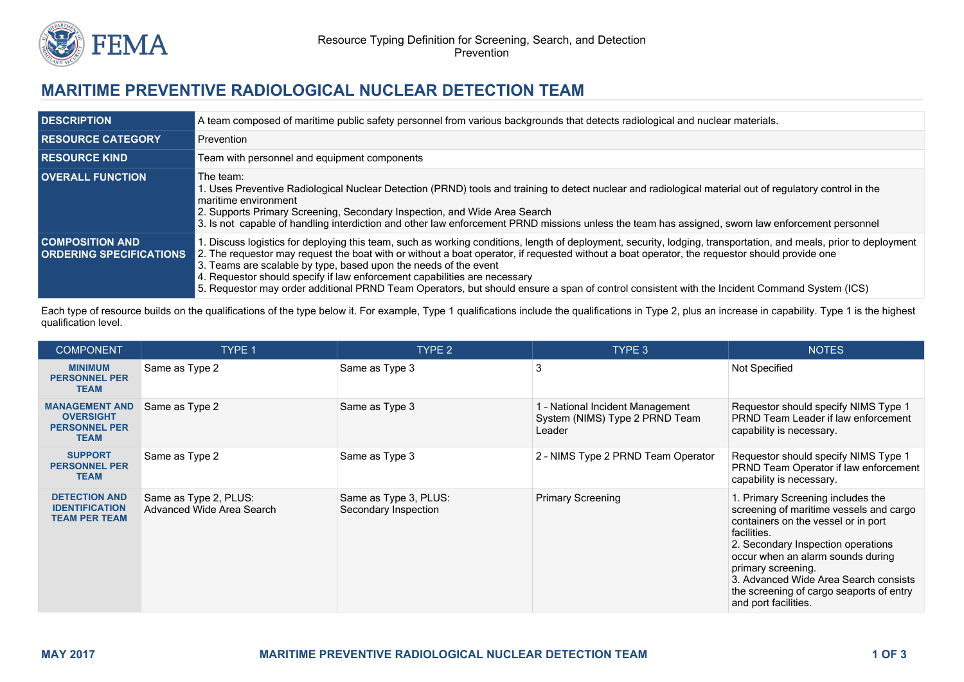

## **MARITIME PREVENTIVE RADIOLOGICAL NUCLEAR DETECTION TEAM**

| <b>DESCRIPTION</b>                                       | A team composed of maritime public safety personnel from various backgrounds that detects radiological and nuclear materials.                                                                                                                                                                                                                                                                                                                                                                                                                                                                                    |  |  |
|----------------------------------------------------------|------------------------------------------------------------------------------------------------------------------------------------------------------------------------------------------------------------------------------------------------------------------------------------------------------------------------------------------------------------------------------------------------------------------------------------------------------------------------------------------------------------------------------------------------------------------------------------------------------------------|--|--|
| <b>RESOURCE CATEGORY</b>                                 | Prevention                                                                                                                                                                                                                                                                                                                                                                                                                                                                                                                                                                                                       |  |  |
| <b>RESOURCE KIND</b>                                     | Team with personnel and equipment components                                                                                                                                                                                                                                                                                                                                                                                                                                                                                                                                                                     |  |  |
| <b>OVERALL FUNCTION</b>                                  | The team:<br>. Uses Preventive Radiological Nuclear Detection (PRND) tools and training to detect nuclear and radiological material out of regulatory control in the<br>maritime environment<br>2. Supports Primary Screening, Secondary Inspection, and Wide Area Search<br>3. Is not capable of handling interdiction and other law enforcement PRND missions unless the team has assigned, sworn law enforcement personnel                                                                                                                                                                                    |  |  |
| <b>COMPOSITION AND</b><br><b>ORDERING SPECIFICATIONS</b> | Discuss logistics for deploying this team, such as working conditions, length of deployment, security, lodging, transportation, and meals, prior to deployment<br>2. The requestor may request the boat with or without a boat operator, if requested without a boat operator, the requestor should provide one<br>3. Teams are scalable by type, based upon the needs of the event<br>4. Requestor should specify if law enforcement capabilities are necessary<br>5. Requestor may order additional PRND Team Operators, but should ensure a span of control consistent with the Incident Command System (ICS) |  |  |

Each type of resource builds on the qualifications of the type below it. For example, Type 1 qualifications include the qualifications in Type 2, plus an increase in capability. Type 1 is the highest qualification level.

| <b>COMPONENT</b>                                                                 | <b>TYPE 1</b>                                      | TYPE 2                                        | TYPE 3                                                                       | <b>NOTES</b>                                                                                                                                                                                                                                                                                                                                     |
|----------------------------------------------------------------------------------|----------------------------------------------------|-----------------------------------------------|------------------------------------------------------------------------------|--------------------------------------------------------------------------------------------------------------------------------------------------------------------------------------------------------------------------------------------------------------------------------------------------------------------------------------------------|
| <b>MINIMUM</b><br><b>PERSONNEL PER</b><br><b>TEAM</b>                            | Same as Type 2                                     | Same as Type 3                                | 3                                                                            | Not Specified                                                                                                                                                                                                                                                                                                                                    |
| <b>MANAGEMENT AND</b><br><b>OVERSIGHT</b><br><b>PERSONNEL PER</b><br><b>TEAM</b> | Same as Type 2                                     | Same as Type 3                                | 1 - National Incident Management<br>System (NIMS) Type 2 PRND Team<br>Leader | Requestor should specify NIMS Type 1<br>PRND Team Leader if law enforcement<br>capability is necessary.                                                                                                                                                                                                                                          |
| <b>SUPPORT</b><br><b>PERSONNEL PER</b><br><b>TEAM</b>                            | Same as Type 2                                     | Same as Type 3                                | 2 - NIMS Type 2 PRND Team Operator                                           | Requestor should specify NIMS Type 1<br>PRND Team Operator if law enforcement<br>capability is necessary.                                                                                                                                                                                                                                        |
| <b>DETECTION AND</b><br><b>IDENTIFICATION</b><br><b>TEAM PER TEAM</b>            | Same as Type 2, PLUS:<br>Advanced Wide Area Search | Same as Type 3, PLUS:<br>Secondary Inspection | <b>Primary Screening</b>                                                     | 1. Primary Screening includes the<br>screening of maritime vessels and cargo<br>containers on the vessel or in port<br>facilities.<br>2. Secondary Inspection operations<br>occur when an alarm sounds during<br>primary screening.<br>3. Advanced Wide Area Search consists<br>the screening of cargo seaports of entry<br>and port facilities. |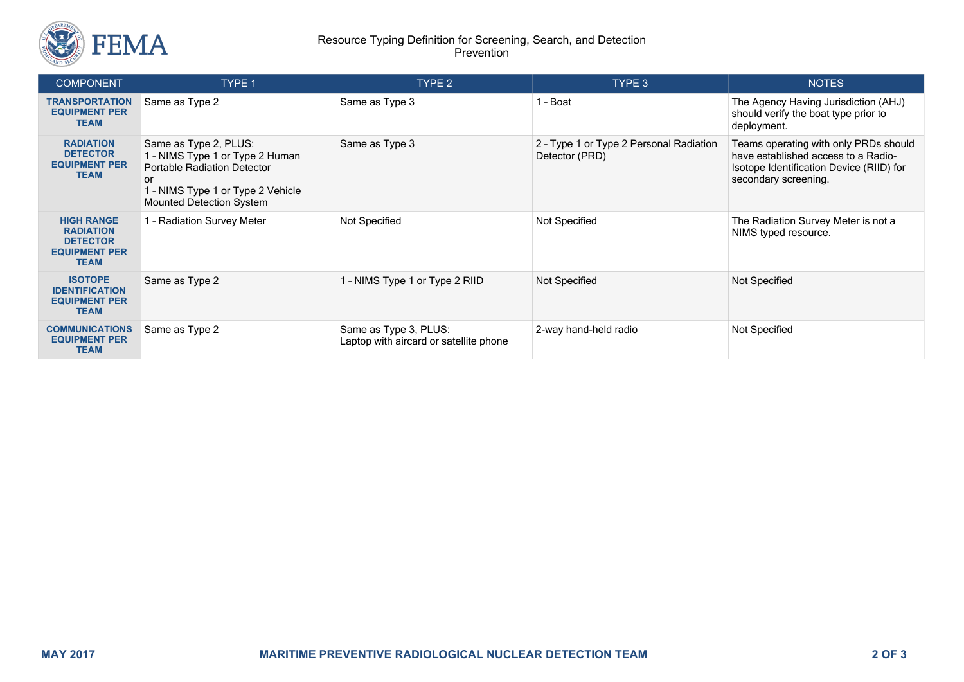

## Resource Typing Definition for Screening, Search, and Detection Prevention

| <b>COMPONENT</b>                                                                                | <b>TYPE 1</b>                                                                                                                                                                | TYPE 2                                                          | TYPE 3                                                    | <b>NOTES</b>                                                                                                                                     |
|-------------------------------------------------------------------------------------------------|------------------------------------------------------------------------------------------------------------------------------------------------------------------------------|-----------------------------------------------------------------|-----------------------------------------------------------|--------------------------------------------------------------------------------------------------------------------------------------------------|
| <b>TRANSPORTATION</b><br><b>EQUIPMENT PER</b><br><b>TEAM</b>                                    | Same as Type 2                                                                                                                                                               | Same as Type 3                                                  | 1 - Boat                                                  | The Agency Having Jurisdiction (AHJ)<br>should verify the boat type prior to<br>deployment.                                                      |
| <b>RADIATION</b><br><b>DETECTOR</b><br><b>EQUIPMENT PER</b><br><b>TEAM</b>                      | Same as Type 2, PLUS:<br>1 - NIMS Type 1 or Type 2 Human<br><b>Portable Radiation Detector</b><br>or<br>1 - NIMS Type 1 or Type 2 Vehicle<br><b>Mounted Detection System</b> | Same as Type 3                                                  | 2 - Type 1 or Type 2 Personal Radiation<br>Detector (PRD) | Teams operating with only PRDs should<br>have established access to a Radio-<br>Isotope Identification Device (RIID) for<br>secondary screening. |
| <b>HIGH RANGE</b><br><b>RADIATION</b><br><b>DETECTOR</b><br><b>EQUIPMENT PER</b><br><b>TEAM</b> | 1 - Radiation Survey Meter                                                                                                                                                   | Not Specified                                                   | Not Specified                                             | The Radiation Survey Meter is not a<br>NIMS typed resource.                                                                                      |
| <b>ISOTOPE</b><br><b>IDENTIFICATION</b><br><b>EQUIPMENT PER</b><br><b>TEAM</b>                  | Same as Type 2                                                                                                                                                               | 1 - NIMS Type 1 or Type 2 RIID                                  | Not Specified                                             | <b>Not Specified</b>                                                                                                                             |
| <b>COMMUNICATIONS</b><br><b>EQUIPMENT PER</b><br><b>TEAM</b>                                    | Same as Type 2                                                                                                                                                               | Same as Type 3, PLUS:<br>Laptop with aircard or satellite phone | 2-way hand-held radio                                     | Not Specified                                                                                                                                    |